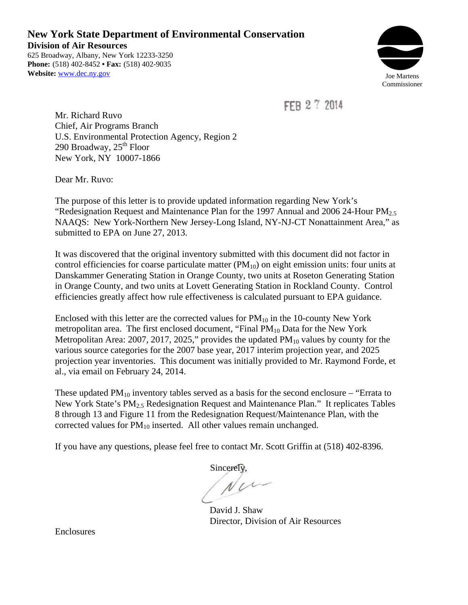**New York State Department of Environmental Conservation Division of Air Resources**  625 Broadway, Albany, New York 12233-3250 **Phone:** (518) 402-8452 **• Fax:** (518) 402-9035



FFR 2 7 2014

Mr. Richard Ruvo Chief, Air Programs Branch U.S. Environmental Protection Agency, Region 2 290 Broadway,  $25<sup>th</sup>$  Floor New York, NY 10007-1866

Dear Mr. Ruvo:

The purpose of this letter is to provide updated information regarding New York's "Redesignation Request and Maintenance Plan for the 1997 Annual and 2006 24-Hour  $PM_{2.5}$ NAAQS: New York-Northern New Jersey-Long Island, NY-NJ-CT Nonattainment Area," as submitted to EPA on June 27, 2013.

It was discovered that the original inventory submitted with this document did not factor in control efficiencies for coarse particulate matter  $(PM_{10})$  on eight emission units: four units at Danskammer Generating Station in Orange County, two units at Roseton Generating Station in Orange County, and two units at Lovett Generating Station in Rockland County. Control efficiencies greatly affect how rule effectiveness is calculated pursuant to EPA guidance.

Enclosed with this letter are the corrected values for  $PM_{10}$  in the 10-county New York metropolitan area. The first enclosed document, "Final  $PM_{10}$  Data for the New York Metropolitan Area: 2007, 2017, 2025," provides the updated  $PM_{10}$  values by county for the various source categories for the 2007 base year, 2017 interim projection year, and 2025 projection year inventories. This document was initially provided to Mr. Raymond Forde, et al., via email on February 24, 2014.

These updated  $PM_{10}$  inventory tables served as a basis for the second enclosure – "Errata to" New York State's PM<sub>2.5</sub> Redesignation Request and Maintenance Plan." It replicates Tables 8 through 13 and Figure 11 from the Redesignation Request/Maintenance Plan, with the corrected values for  $PM_{10}$  inserted. All other values remain unchanged.

If you have any questions, please feel free to contact Mr. Scott Griffin at (518) 402-8396.

Sincerely,

David J. Shaw Director, Division of Air Resources

Enclosures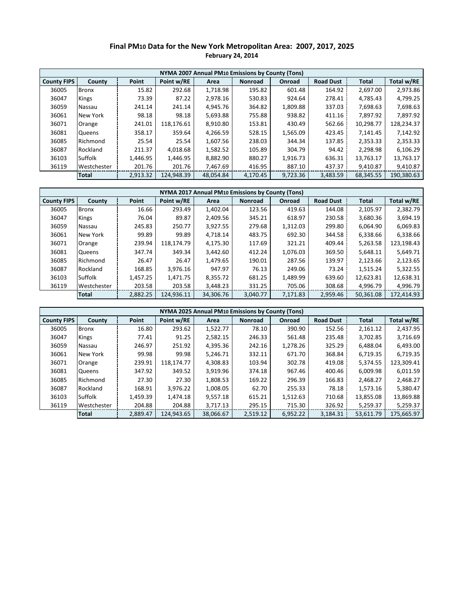#### **PM10 Data for the New York Metropolitan Area: 2007, 2017, 2025 Final PM10 Data for the New York Metropolitan Area: 2007, 2017, 2025 February 24, 2014**

|                    | NYMA 2007 Annual PM10 Emissions by County (Tons) |          |            |           |                |          |                  |              |            |  |  |
|--------------------|--------------------------------------------------|----------|------------|-----------|----------------|----------|------------------|--------------|------------|--|--|
| <b>County FIPS</b> | County                                           | Point    | Point w/RE | Area      | <b>Nonroad</b> | Onroad   | <b>Road Dust</b> | <b>Total</b> | Total w/RE |  |  |
| 36005              | <b>Bronx</b>                                     | 15.82    | 292.68     | 1.718.98  | 195.82         | 601.48   | 164.92           | 2,697.00     | 2,973.86   |  |  |
| 36047              | <b>Kings</b>                                     | 73.39    | 87.22      | 2,978.16  | 530.83         | 924.64   | 278.41           | 4,785.43     | 4,799.25   |  |  |
| 36059              | Nassau                                           | 241.14   | 241.14     | 4,945.76  | 364.82         | 1,809.88 | 337.03           | 7,698.63     | 7,698.63   |  |  |
| 36061              | New York                                         | 98.18    | 98.18      | 5,693.88  | 755.88         | 938.82   | 411.16           | 7.897.92     | 7,897.92   |  |  |
| 36071              | Orange                                           | 241.01   | 118.176.61 | 8.910.80  | 153.81         | 430.49   | 562.66           | 10.298.77    | 128,234.37 |  |  |
| 36081              | <b>Queens</b>                                    | 358.17   | 359.64     | 4,266.59  | 528.15         | 1,565.09 | 423.45           | 7.141.45     | 7,142.92   |  |  |
| 36085              | Richmond                                         | 25.54    | 25.54      | 1.607.56  | 238.03         | 344.34   | 137.85           | 2,353.33     | 2,353.33   |  |  |
| 36087              | Rockland                                         | 211.37   | 4,018.68   | 1,582.52  | 105.89         | 304.79   | 94.42            | 2,298.98     | 6,106.29   |  |  |
| 36103              | Suffolk                                          | 1.446.95 | 1,446.95   | 8.882.90  | 880.27         | 1,916.73 | 636.31           | 13,763.17    | 13,763.17  |  |  |
| 36119              | Westchester                                      | 201.76   | 201.76     | 7,467.69  | 416.95         | 887.10   | 437.37           | 9,410.87     | 9,410.87   |  |  |
|                    | <b>Total</b>                                     | 2,913.32 | 124.948.39 | 48.054.84 | 4.170.45       | 9,723.36 | 3.483.59         | 68,345.55    | 190.380.63 |  |  |

|                    | NYMA 2017 Annual PM10 Emissions by County (Tons) |          |            |           |                |               |                  |              |            |  |  |
|--------------------|--------------------------------------------------|----------|------------|-----------|----------------|---------------|------------------|--------------|------------|--|--|
| <b>County FIPS</b> | County                                           | Point    | Point w/RE | Area      | <b>Nonroad</b> | <b>Onroad</b> | <b>Road Dust</b> | <b>Total</b> | Total w/RE |  |  |
| 36005              | <b>Bronx</b>                                     | 16.66    | 293.49     | 1.402.04  | 123.56         | 419.63        | 144.08           | 2.105.97     | 2.382.79   |  |  |
| 36047              | <b>Kings</b>                                     | 76.04    | 89.87      | 2.409.56  | 345.21         | 618.97        | 230.58           | 3.680.36     | 3,694.19   |  |  |
| 36059              | Nassau                                           | 245.83   | 250.77     | 3.927.55  | 279.68         | 1,312.03      | 299.80           | 6.064.90     | 6,069.83   |  |  |
| 36061              | New York                                         | 99.89    | 99.89      | 4.718.14  | 483.75         | 692.30        | 344.58           | 6,338.66     | 6,338.66   |  |  |
| 36071              | Orange                                           | 239.94   | 118.174.79 | 4.175.30  | 117.69         | 321.21        | 409.44           | 5,263.58     | 123,198.43 |  |  |
| 36081              | <b>Queens</b>                                    | 347.74   | 349.34     | 3.442.60  | 412.24         | 1,076.03      | 369.50           | 5.648.11     | 5,649.71   |  |  |
| 36085              | Richmond                                         | 26.47    | 26.47      | 1.479.65  | 190.01         | 287.56        | 139.97           | 2,123.66     | 2,123.65   |  |  |
| 36087              | Rockland                                         | 168.85   | 3.976.16   | 947.97    | 76.13          | 249.06        | 73.24            | 1.515.24     | 5,322.55   |  |  |
| 36103              | Suffolk                                          | 1,457.25 | 1,471.75   | 8,355.72  | 681.25         | 1,489.99      | 639.60           | 12.623.81    | 12,638.31  |  |  |
| 36119              | Westchester                                      | 203.58   | 203.58     | 3,448.23  | 331.25         | 705.06        | 308.68           | 4,996.79     | 4,996.79   |  |  |
|                    | Total                                            | 2,882.25 | 124.936.11 | 34.306.76 | 3.040.77       | 7,171.83      | 2.959.46         | 50.361.08    | 172.414.93 |  |  |

|                    | NYMA 2025 Annual PM10 Emissions by County (Tons) |          |            |           |                |          |                  |              |            |  |  |
|--------------------|--------------------------------------------------|----------|------------|-----------|----------------|----------|------------------|--------------|------------|--|--|
| <b>County FIPS</b> | County                                           | Point    | Point w/RE | Area      | <b>Nonroad</b> | Onroad   | <b>Road Dust</b> | <b>Total</b> | Total w/RE |  |  |
| 36005              | <b>Bronx</b>                                     | 16.80    | 293.62     | 1,522.77  | 78.10          | 390.90   | 152.56           | 2,161.12     | 2,437.95   |  |  |
| 36047              | <b>Kings</b>                                     | 77.41    | 91.25      | 2,582.15  | 246.33         | 561.48   | 235.48           | 3,702.85     | 3,716.69   |  |  |
| 36059              | Nassau                                           | 246.97   | 251.92     | 4,395.36  | 242.16         | 1,278.26 | 325.29           | 6,488.04     | 6,493.00   |  |  |
| 36061              | New York                                         | 99.98    | 99.98      | 5.246.71  | 332.11         | 671.70   | 368.84           | 6,719.35     | 6,719.35   |  |  |
| 36071              | Orange                                           | 239.91   | 118.174.77 | 4.308.83  | 103.94         | 302.78   | 419.08           | 5.374.55     | 123,309.41 |  |  |
| 36081              | Queens                                           | 347.92   | 349.52     | 3,919.96  | 374.18         | 967.46   | 400.46           | 6.009.98     | 6,011.59   |  |  |
| 36085              | Richmond                                         | 27.30    | 27.30      | 1,808.53  | 169.22         | 296.39   | 166.83           | 2,468.27     | 2,468.27   |  |  |
| 36087              | Rockland                                         | 168.91   | 3.976.22   | 1,008.05  | 62.70          | 255.33   | 78.18            | 1,573.16     | 5,380.47   |  |  |
| 36103              | <b>Suffolk</b>                                   | 1,459.39 | 1,474.18   | 9,557.18  | 615.21         | 1,512.63 | 710.68           | 13,855.08    | 13,869.88  |  |  |
| 36119              | Westchester                                      | 204.88   | 204.88     | 3,717.13  | 295.15         | 715.30   | 326.92           | 5,259.37     | 5,259.37   |  |  |
|                    | <b>Total</b>                                     | 2.889.47 | 124,943.65 | 38,066.67 | 2,519.12       | 6.952.22 | 3,184.31         | 53,611.79    | 175.665.97 |  |  |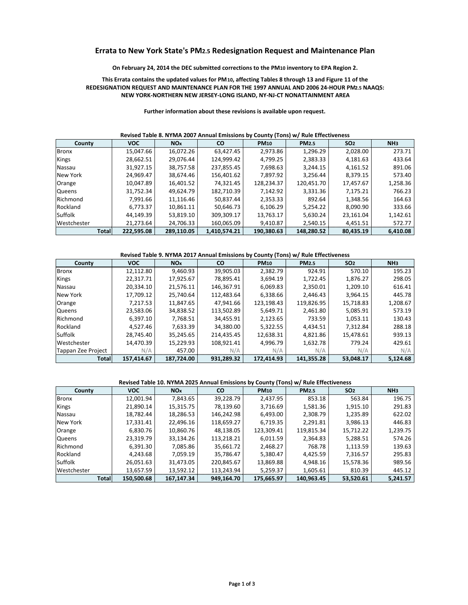# Errata to New York State's PM2.5 Redesignation Request and Maintenance Plan

# On February 24, 2014 the DEC submitted corrections to the PM10 inventory to EPA Region 2.

# This Errata contains the updated values for PM10, affecting Tables 8 through 13 and Figure 11 of the REDESIGNATION REQUEST AND MAINTENANCE PLAN FOR THE 1997 ANNUAL AND 2006 24-HOUR PM2.5 NAAQS:  **NEW YORK‐NORTHERN NEW JERSEY‐LONG ISLAND, NY‐NJ‐CT NONATTAINMENT AREA**

| County       | <b>VOC</b> | <b>NO<sub>x</sub></b> | <b>CO</b>    | <b>PM10</b> | <b>PM2.5</b> | SO <sub>2</sub> | NH <sub>3</sub> |
|--------------|------------|-----------------------|--------------|-------------|--------------|-----------------|-----------------|
| <b>Bronx</b> | 15,047.66  | 16,072.26             | 63.427.45    | 2,973.86    | 1,296.29     | 2,028.00        | 273.71          |
| Kings        | 28,662.51  | 29,076.44             | 124.999.42   | 4.799.25    | 2,383.33     | 4,181.63        | 433.64          |
| Nassau       | 31,927.15  | 38,757.58             | 237,855.45   | 7,698.63    | 3,244.15     | 4,161.52        | 891.06          |
| New York     | 24,969.47  | 38,674.46             | 156,401.62   | 7,897.92    | 3,256.44     | 8,379.15        | 573.40          |
| Orange       | 10,047.89  | 16,401.52             | 74,321.45    | 128,234.37  | 120,451.70   | 17,457.67       | 1,258.36        |
| Queens       | 31,752.34  | 49.624.79             | 182,710.39   | 7.142.92    | 3,331.36     | 7,175.21        | 766.23          |
| Richmond     | 7,991.66   | 11,116.46             | 50,837.44    | 2,353.33    | 892.64       | 1,348.56        | 164.63          |
| Rockland     | 6,773.37   | 10,861.11             | 50,646.73    | 6,106.29    | 5,254.22     | 8,090.90        | 333.66          |
| Suffolk      | 44,149.39  | 53,819.10             | 309,309.17   | 13,763.17   | 5,630.24     | 23,161.04       | 1,142.61        |
| Westchester  | 21.273.64  | 24,706.33             | 160,065.09   | 9,410.87    | 2,540.15     | 4,451.51        | 572.77          |
| Totall       | 222,595.08 | 289,110.05            | 1,410,574.21 | 190.380.63  | 148,280.52   | 80.435.19       | 6.410.08        |

#### **Revised Table 8. NYMA 2007 Annual Emissions by County (Tons) w/ Rule Effectiveness**

#### **Revised Table 9. NYMA 2017 Annual Emissions by County (Tons) w/ Rule Effectiveness**

|            |                                                                                                                                                                                                                                                                                                                                                                     | On February 24, 2014 the DEC submitted corrections to the PM10 inventory to EPA Region 2.<br>This Errata contains the updated values for PM10, affecting Tables 8 through 13 and Figure 11 of the<br>REDESIGNATION REQUEST AND MAINTENANCE PLAN FOR THE 1997 ANNUAL AND 2006 24-HOUR PM2.5 NAAQS:                              |                                                                                                                                                                                                                                                                                                                               |                                                                                                                                                                                                                                                                                                                                  |                                                                                                                                                                                                                                                                                                                                                                                                                                         |                                                                                                                                                                                                                                                                                                                                                                                                                                                                                                                                                                                                                    |
|------------|---------------------------------------------------------------------------------------------------------------------------------------------------------------------------------------------------------------------------------------------------------------------------------------------------------------------------------------------------------------------|--------------------------------------------------------------------------------------------------------------------------------------------------------------------------------------------------------------------------------------------------------------------------------------------------------------------------------|-------------------------------------------------------------------------------------------------------------------------------------------------------------------------------------------------------------------------------------------------------------------------------------------------------------------------------|----------------------------------------------------------------------------------------------------------------------------------------------------------------------------------------------------------------------------------------------------------------------------------------------------------------------------------|-----------------------------------------------------------------------------------------------------------------------------------------------------------------------------------------------------------------------------------------------------------------------------------------------------------------------------------------------------------------------------------------------------------------------------------------|--------------------------------------------------------------------------------------------------------------------------------------------------------------------------------------------------------------------------------------------------------------------------------------------------------------------------------------------------------------------------------------------------------------------------------------------------------------------------------------------------------------------------------------------------------------------------------------------------------------------|
|            |                                                                                                                                                                                                                                                                                                                                                                     | NEW YORK-NORTHERN NEW JERSEY-LONG ISLAND, NY-NJ-CT NONATTAINMENT AREA                                                                                                                                                                                                                                                          |                                                                                                                                                                                                                                                                                                                               |                                                                                                                                                                                                                                                                                                                                  |                                                                                                                                                                                                                                                                                                                                                                                                                                         |                                                                                                                                                                                                                                                                                                                                                                                                                                                                                                                                                                                                                    |
|            |                                                                                                                                                                                                                                                                                                                                                                     |                                                                                                                                                                                                                                                                                                                                |                                                                                                                                                                                                                                                                                                                               |                                                                                                                                                                                                                                                                                                                                  |                                                                                                                                                                                                                                                                                                                                                                                                                                         |                                                                                                                                                                                                                                                                                                                                                                                                                                                                                                                                                                                                                    |
|            |                                                                                                                                                                                                                                                                                                                                                                     |                                                                                                                                                                                                                                                                                                                                |                                                                                                                                                                                                                                                                                                                               |                                                                                                                                                                                                                                                                                                                                  |                                                                                                                                                                                                                                                                                                                                                                                                                                         |                                                                                                                                                                                                                                                                                                                                                                                                                                                                                                                                                                                                                    |
|            |                                                                                                                                                                                                                                                                                                                                                                     |                                                                                                                                                                                                                                                                                                                                |                                                                                                                                                                                                                                                                                                                               |                                                                                                                                                                                                                                                                                                                                  |                                                                                                                                                                                                                                                                                                                                                                                                                                         | NH <sub>3</sub>                                                                                                                                                                                                                                                                                                                                                                                                                                                                                                                                                                                                    |
|            |                                                                                                                                                                                                                                                                                                                                                                     |                                                                                                                                                                                                                                                                                                                                |                                                                                                                                                                                                                                                                                                                               |                                                                                                                                                                                                                                                                                                                                  |                                                                                                                                                                                                                                                                                                                                                                                                                                         | 273.71<br>433.64                                                                                                                                                                                                                                                                                                                                                                                                                                                                                                                                                                                                   |
|            |                                                                                                                                                                                                                                                                                                                                                                     |                                                                                                                                                                                                                                                                                                                                |                                                                                                                                                                                                                                                                                                                               |                                                                                                                                                                                                                                                                                                                                  |                                                                                                                                                                                                                                                                                                                                                                                                                                         | 891.06                                                                                                                                                                                                                                                                                                                                                                                                                                                                                                                                                                                                             |
|            |                                                                                                                                                                                                                                                                                                                                                                     |                                                                                                                                                                                                                                                                                                                                |                                                                                                                                                                                                                                                                                                                               |                                                                                                                                                                                                                                                                                                                                  |                                                                                                                                                                                                                                                                                                                                                                                                                                         | 573.40                                                                                                                                                                                                                                                                                                                                                                                                                                                                                                                                                                                                             |
|            |                                                                                                                                                                                                                                                                                                                                                                     |                                                                                                                                                                                                                                                                                                                                |                                                                                                                                                                                                                                                                                                                               |                                                                                                                                                                                                                                                                                                                                  |                                                                                                                                                                                                                                                                                                                                                                                                                                         | 1,258.36                                                                                                                                                                                                                                                                                                                                                                                                                                                                                                                                                                                                           |
|            |                                                                                                                                                                                                                                                                                                                                                                     |                                                                                                                                                                                                                                                                                                                                |                                                                                                                                                                                                                                                                                                                               |                                                                                                                                                                                                                                                                                                                                  |                                                                                                                                                                                                                                                                                                                                                                                                                                         | 766.23                                                                                                                                                                                                                                                                                                                                                                                                                                                                                                                                                                                                             |
|            |                                                                                                                                                                                                                                                                                                                                                                     |                                                                                                                                                                                                                                                                                                                                |                                                                                                                                                                                                                                                                                                                               |                                                                                                                                                                                                                                                                                                                                  |                                                                                                                                                                                                                                                                                                                                                                                                                                         | 164.63                                                                                                                                                                                                                                                                                                                                                                                                                                                                                                                                                                                                             |
|            |                                                                                                                                                                                                                                                                                                                                                                     | 50,646.73                                                                                                                                                                                                                                                                                                                      |                                                                                                                                                                                                                                                                                                                               |                                                                                                                                                                                                                                                                                                                                  |                                                                                                                                                                                                                                                                                                                                                                                                                                         | 333.66                                                                                                                                                                                                                                                                                                                                                                                                                                                                                                                                                                                                             |
| 44,149.39  | 53,819.10                                                                                                                                                                                                                                                                                                                                                           | 309,309.17                                                                                                                                                                                                                                                                                                                     | 13,763.17                                                                                                                                                                                                                                                                                                                     | 5,630.24                                                                                                                                                                                                                                                                                                                         | 23,161.04                                                                                                                                                                                                                                                                                                                                                                                                                               | 1,142.61                                                                                                                                                                                                                                                                                                                                                                                                                                                                                                                                                                                                           |
| 21,273.64  | 24,706.33                                                                                                                                                                                                                                                                                                                                                           | 160,065.09                                                                                                                                                                                                                                                                                                                     | 9,410.87                                                                                                                                                                                                                                                                                                                      | 2,540.15                                                                                                                                                                                                                                                                                                                         | 4,451.51                                                                                                                                                                                                                                                                                                                                                                                                                                | 572.77                                                                                                                                                                                                                                                                                                                                                                                                                                                                                                                                                                                                             |
| 222,595.08 | 289,110.05                                                                                                                                                                                                                                                                                                                                                          | 1,410,574.21                                                                                                                                                                                                                                                                                                                   | 190,380.63                                                                                                                                                                                                                                                                                                                    | 148,280.52                                                                                                                                                                                                                                                                                                                       | 80,435.19                                                                                                                                                                                                                                                                                                                                                                                                                               | 6,410.08                                                                                                                                                                                                                                                                                                                                                                                                                                                                                                                                                                                                           |
|            |                                                                                                                                                                                                                                                                                                                                                                     |                                                                                                                                                                                                                                                                                                                                |                                                                                                                                                                                                                                                                                                                               |                                                                                                                                                                                                                                                                                                                                  |                                                                                                                                                                                                                                                                                                                                                                                                                                         |                                                                                                                                                                                                                                                                                                                                                                                                                                                                                                                                                                                                                    |
|            |                                                                                                                                                                                                                                                                                                                                                                     |                                                                                                                                                                                                                                                                                                                                |                                                                                                                                                                                                                                                                                                                               |                                                                                                                                                                                                                                                                                                                                  |                                                                                                                                                                                                                                                                                                                                                                                                                                         |                                                                                                                                                                                                                                                                                                                                                                                                                                                                                                                                                                                                                    |
|            |                                                                                                                                                                                                                                                                                                                                                                     |                                                                                                                                                                                                                                                                                                                                |                                                                                                                                                                                                                                                                                                                               |                                                                                                                                                                                                                                                                                                                                  |                                                                                                                                                                                                                                                                                                                                                                                                                                         | NH <sub>3</sub>                                                                                                                                                                                                                                                                                                                                                                                                                                                                                                                                                                                                    |
|            |                                                                                                                                                                                                                                                                                                                                                                     |                                                                                                                                                                                                                                                                                                                                |                                                                                                                                                                                                                                                                                                                               |                                                                                                                                                                                                                                                                                                                                  |                                                                                                                                                                                                                                                                                                                                                                                                                                         | 195.23<br>298.05                                                                                                                                                                                                                                                                                                                                                                                                                                                                                                                                                                                                   |
|            |                                                                                                                                                                                                                                                                                                                                                                     |                                                                                                                                                                                                                                                                                                                                |                                                                                                                                                                                                                                                                                                                               |                                                                                                                                                                                                                                                                                                                                  |                                                                                                                                                                                                                                                                                                                                                                                                                                         | 616.41                                                                                                                                                                                                                                                                                                                                                                                                                                                                                                                                                                                                             |
|            |                                                                                                                                                                                                                                                                                                                                                                     |                                                                                                                                                                                                                                                                                                                                |                                                                                                                                                                                                                                                                                                                               |                                                                                                                                                                                                                                                                                                                                  |                                                                                                                                                                                                                                                                                                                                                                                                                                         | 445.78                                                                                                                                                                                                                                                                                                                                                                                                                                                                                                                                                                                                             |
|            |                                                                                                                                                                                                                                                                                                                                                                     |                                                                                                                                                                                                                                                                                                                                |                                                                                                                                                                                                                                                                                                                               |                                                                                                                                                                                                                                                                                                                                  |                                                                                                                                                                                                                                                                                                                                                                                                                                         | 1,208.67                                                                                                                                                                                                                                                                                                                                                                                                                                                                                                                                                                                                           |
|            |                                                                                                                                                                                                                                                                                                                                                                     |                                                                                                                                                                                                                                                                                                                                |                                                                                                                                                                                                                                                                                                                               |                                                                                                                                                                                                                                                                                                                                  |                                                                                                                                                                                                                                                                                                                                                                                                                                         | 573.19                                                                                                                                                                                                                                                                                                                                                                                                                                                                                                                                                                                                             |
|            |                                                                                                                                                                                                                                                                                                                                                                     |                                                                                                                                                                                                                                                                                                                                |                                                                                                                                                                                                                                                                                                                               |                                                                                                                                                                                                                                                                                                                                  |                                                                                                                                                                                                                                                                                                                                                                                                                                         | 130.43                                                                                                                                                                                                                                                                                                                                                                                                                                                                                                                                                                                                             |
|            | 7,633.39                                                                                                                                                                                                                                                                                                                                                            |                                                                                                                                                                                                                                                                                                                                |                                                                                                                                                                                                                                                                                                                               |                                                                                                                                                                                                                                                                                                                                  |                                                                                                                                                                                                                                                                                                                                                                                                                                         | 288.18                                                                                                                                                                                                                                                                                                                                                                                                                                                                                                                                                                                                             |
|            | 35,245.65                                                                                                                                                                                                                                                                                                                                                           | 214,435.45                                                                                                                                                                                                                                                                                                                     | 12,638.31                                                                                                                                                                                                                                                                                                                     |                                                                                                                                                                                                                                                                                                                                  | 15,478.61                                                                                                                                                                                                                                                                                                                                                                                                                               | 939.13                                                                                                                                                                                                                                                                                                                                                                                                                                                                                                                                                                                                             |
| 14,470.39  | 15,229.93                                                                                                                                                                                                                                                                                                                                                           | 108,921.41                                                                                                                                                                                                                                                                                                                     | 4,996.79                                                                                                                                                                                                                                                                                                                      | 1,632.78                                                                                                                                                                                                                                                                                                                         | 779.24                                                                                                                                                                                                                                                                                                                                                                                                                                  | 429.61                                                                                                                                                                                                                                                                                                                                                                                                                                                                                                                                                                                                             |
| N/A        | 457.00                                                                                                                                                                                                                                                                                                                                                              | N/A                                                                                                                                                                                                                                                                                                                            | N/A                                                                                                                                                                                                                                                                                                                           | N/A                                                                                                                                                                                                                                                                                                                              | N/A                                                                                                                                                                                                                                                                                                                                                                                                                                     | N/A                                                                                                                                                                                                                                                                                                                                                                                                                                                                                                                                                                                                                |
| 157,414.67 | 187,724.00                                                                                                                                                                                                                                                                                                                                                          | 931,289.32                                                                                                                                                                                                                                                                                                                     | 172,414.93                                                                                                                                                                                                                                                                                                                    | 141,355.28                                                                                                                                                                                                                                                                                                                       | 53,048.17                                                                                                                                                                                                                                                                                                                                                                                                                               | 5,124.68                                                                                                                                                                                                                                                                                                                                                                                                                                                                                                                                                                                                           |
|            |                                                                                                                                                                                                                                                                                                                                                                     |                                                                                                                                                                                                                                                                                                                                |                                                                                                                                                                                                                                                                                                                               |                                                                                                                                                                                                                                                                                                                                  |                                                                                                                                                                                                                                                                                                                                                                                                                                         |                                                                                                                                                                                                                                                                                                                                                                                                                                                                                                                                                                                                                    |
|            |                                                                                                                                                                                                                                                                                                                                                                     |                                                                                                                                                                                                                                                                                                                                |                                                                                                                                                                                                                                                                                                                               |                                                                                                                                                                                                                                                                                                                                  |                                                                                                                                                                                                                                                                                                                                                                                                                                         |                                                                                                                                                                                                                                                                                                                                                                                                                                                                                                                                                                                                                    |
|            |                                                                                                                                                                                                                                                                                                                                                                     |                                                                                                                                                                                                                                                                                                                                |                                                                                                                                                                                                                                                                                                                               |                                                                                                                                                                                                                                                                                                                                  |                                                                                                                                                                                                                                                                                                                                                                                                                                         | NH <sub>3</sub>                                                                                                                                                                                                                                                                                                                                                                                                                                                                                                                                                                                                    |
|            |                                                                                                                                                                                                                                                                                                                                                                     |                                                                                                                                                                                                                                                                                                                                |                                                                                                                                                                                                                                                                                                                               |                                                                                                                                                                                                                                                                                                                                  |                                                                                                                                                                                                                                                                                                                                                                                                                                         | 196.75<br>291.83                                                                                                                                                                                                                                                                                                                                                                                                                                                                                                                                                                                                   |
|            |                                                                                                                                                                                                                                                                                                                                                                     |                                                                                                                                                                                                                                                                                                                                |                                                                                                                                                                                                                                                                                                                               |                                                                                                                                                                                                                                                                                                                                  |                                                                                                                                                                                                                                                                                                                                                                                                                                         | 622.02                                                                                                                                                                                                                                                                                                                                                                                                                                                                                                                                                                                                             |
|            |                                                                                                                                                                                                                                                                                                                                                                     |                                                                                                                                                                                                                                                                                                                                |                                                                                                                                                                                                                                                                                                                               |                                                                                                                                                                                                                                                                                                                                  |                                                                                                                                                                                                                                                                                                                                                                                                                                         | 446.83                                                                                                                                                                                                                                                                                                                                                                                                                                                                                                                                                                                                             |
|            |                                                                                                                                                                                                                                                                                                                                                                     |                                                                                                                                                                                                                                                                                                                                |                                                                                                                                                                                                                                                                                                                               |                                                                                                                                                                                                                                                                                                                                  |                                                                                                                                                                                                                                                                                                                                                                                                                                         | 1,239.75                                                                                                                                                                                                                                                                                                                                                                                                                                                                                                                                                                                                           |
|            |                                                                                                                                                                                                                                                                                                                                                                     |                                                                                                                                                                                                                                                                                                                                |                                                                                                                                                                                                                                                                                                                               |                                                                                                                                                                                                                                                                                                                                  |                                                                                                                                                                                                                                                                                                                                                                                                                                         | 574.26                                                                                                                                                                                                                                                                                                                                                                                                                                                                                                                                                                                                             |
|            |                                                                                                                                                                                                                                                                                                                                                                     |                                                                                                                                                                                                                                                                                                                                |                                                                                                                                                                                                                                                                                                                               | 768.78                                                                                                                                                                                                                                                                                                                           |                                                                                                                                                                                                                                                                                                                                                                                                                                         | 139.63                                                                                                                                                                                                                                                                                                                                                                                                                                                                                                                                                                                                             |
|            |                                                                                                                                                                                                                                                                                                                                                                     |                                                                                                                                                                                                                                                                                                                                |                                                                                                                                                                                                                                                                                                                               |                                                                                                                                                                                                                                                                                                                                  |                                                                                                                                                                                                                                                                                                                                                                                                                                         | 295.83                                                                                                                                                                                                                                                                                                                                                                                                                                                                                                                                                                                                             |
| 26,051.63  | 31,473.05                                                                                                                                                                                                                                                                                                                                                           | 220,845.67                                                                                                                                                                                                                                                                                                                     | 13,869.88                                                                                                                                                                                                                                                                                                                     | 4,948.16                                                                                                                                                                                                                                                                                                                         | 15,578.36                                                                                                                                                                                                                                                                                                                                                                                                                               | 989.56                                                                                                                                                                                                                                                                                                                                                                                                                                                                                                                                                                                                             |
| 13,657.59  | 13,592.12                                                                                                                                                                                                                                                                                                                                                           | 113,243.94                                                                                                                                                                                                                                                                                                                     | 5,259.37                                                                                                                                                                                                                                                                                                                      | 1,605.61                                                                                                                                                                                                                                                                                                                         | 810.39                                                                                                                                                                                                                                                                                                                                                                                                                                  | 445.12                                                                                                                                                                                                                                                                                                                                                                                                                                                                                                                                                                                                             |
| 150,500.68 | 167,147.34                                                                                                                                                                                                                                                                                                                                                          | 949,164.70                                                                                                                                                                                                                                                                                                                     | 175,665.97                                                                                                                                                                                                                                                                                                                    | 140,963.45                                                                                                                                                                                                                                                                                                                       | 53,520.61                                                                                                                                                                                                                                                                                                                                                                                                                               | 5,241.57                                                                                                                                                                                                                                                                                                                                                                                                                                                                                                                                                                                                           |
|            | <b>VOC</b><br>15,047.66<br>28,662.51<br>31,927.15<br>24,969.47<br>10,047.89<br>31,752.34<br>7,991.66<br>6,773.37<br><b>VOC</b><br>12,112.80<br>22,317.71<br>20,334.10<br>17,709.12<br>7,217.53<br>23,583.06<br>6,397.10<br>4,527.46<br>28,745.40<br><b>VOC</b><br>12,001.94<br>21,890.14<br>18,782.44<br>17,331.41<br>6,830.76<br>23,319.79<br>6,391.30<br>4,243.68 | <b>NOx</b><br>16,072.26<br>29,076.44<br>38,757.58<br>38,674.46<br>16,401.52<br>49,624.79<br>11,116.46<br>10,861.11<br><b>NOx</b><br>9,460.93<br>17,925.67<br>21,576.11<br>25,740.64<br>11,847.65<br>34,838.52<br>7,768.51<br>7,843.65<br>15,315.75<br>18,286.53<br>22,496.16<br>10,860.76<br>33,134.26<br>7,085.86<br>7,059.19 | CO<br>63,427.45<br>124,999.42<br>237,855.45<br>156,401.62<br>74,321.45<br>182,710.39<br>50,837.44<br>CO<br>39,905.03<br>78,895.41<br>146,367.91<br>112,483.64<br>47,941.66<br>113,502.89<br>34,455.91<br>34,380.00<br>39,228.79<br>78,139.60<br>146,242.98<br>118,659.27<br>48,138.05<br>113,218.21<br>35,661.72<br>35,786.47 | <b>PM10</b><br>2,973.86<br>4,799.25<br>7,698.63<br>7,897.92<br>128,234.37<br>7,142.92<br>2,353.33<br>6,106.29<br><b>PM10</b><br>2,382.79<br>3,694.19<br>6,069.83<br>6,338.66<br>123,198.43<br>5,649.71<br>2,123.65<br>5,322.55<br>2,437.95<br>3,716.69<br>6,493.00<br>6,719.35<br>123,309.41<br>6,011.59<br>2,468.27<br>5,380.47 | Further information about these revisions is available upon request.<br><b>PM2.5</b><br>1,296.29<br>2,383.33<br>3,244.15<br>3,256.44<br>120,451.70<br>3,331.36<br>892.64<br>5,254.22<br><b>PM2.5</b><br>924.91<br>1,722.45<br>2,350.01<br>2,446.43<br>119,826.95<br>2,461.80<br>733.59<br>4,434.51<br>4,821.86<br>$NOx$ $CO$ $PM10$<br><b>PM2.5</b><br>853.18<br>1,581.36<br>2,308.79<br>2,291.81<br>119,815.34<br>2,364.83<br>4,425.59 | Revised Table 8. NYMA 2007 Annual Emissions by County (Tons) w/ Rule Effectiveness<br>SO <sub>2</sub><br>2,028.00<br>4,181.63<br>4,161.52<br>8,379.15<br>17,457.67<br>7,175.21<br>1,348.56<br>8,090.90<br>Revised Table 9. NYMA 2017 Annual Emissions by County (Tons) w/ Rule Effectiveness<br><b>SO2</b><br>570.10<br>1,876.27<br>1,209.10<br>3,964.15<br>15,718.83<br>5,085.91<br>1,053.11<br>7,312.84<br>Revised Table 10. NYMA 2025 Annual Emissions by County (Tons) w/ Rule Effectiveness<br>SO <sub>2</sub><br>563.84<br>1,915.10<br>1,235.89<br>3,986.13<br>15,712.22<br>5,288.51<br>1,113.59<br>7,316.57 |

### **Revised Table 10. NYMA 2025 Annual Emissions by County (Tons) w/ Rule Effectiveness**

| County        | <b>VOC</b> | <b>NO<sub>x</sub></b> | <b>CO</b>  | <b>PM10</b> | <b>PM2.5</b> | SO <sub>2</sub> | NH <sub>3</sub> |
|---------------|------------|-----------------------|------------|-------------|--------------|-----------------|-----------------|
| Bronx         | 12,001.94  | 7,843.65              | 39,228.79  | 2.437.95    | 853.18       | 563.84          | 196.75          |
| <b>Kings</b>  | 21,890.14  | 15,315.75             | 78,139.60  | 3,716.69    | 1,581.36     | 1,915.10        | 291.83          |
| Nassau        | 18,782.44  | 18,286.53             | 146,242.98 | 6,493.00    | 2,308.79     | 1,235.89        | 622.02          |
| New York      | 17,331.41  | 22,496.16             | 118,659.27 | 6,719.35    | 2,291.81     | 3,986.13        | 446.83          |
| Orange        | 6,830.76   | 10,860.76             | 48,138.05  | 123,309.41  | 119,815.34   | 15,712.22       | 1,239.75        |
| <b>Queens</b> | 23,319.79  | 33,134.26             | 113,218.21 | 6,011.59    | 2,364.83     | 5,288.51        | 574.26          |
| Richmond      | 6,391.30   | 7,085.86              | 35,661.72  | 2,468.27    | 768.78       | 1,113.59        | 139.63          |
| Rockland      | 4,243.68   | 7,059.19              | 35,786.47  | 5,380.47    | 4,425.59     | 7,316.57        | 295.83          |
| Suffolk       | 26,051.63  | 31,473.05             | 220,845.67 | 13,869.88   | 4,948.16     | 15,578.36       | 989.56          |
| Westchester   | 13,657.59  | 13,592.12             | 113,243.94 | 5,259.37    | 1,605.61     | 810.39          | 445.12          |
| <b>Total</b>  | 150.500.68 | 167.147.34            | 949.164.70 | 175.665.97  | 140.963.45   | 53.520.61       | 5.241.57        |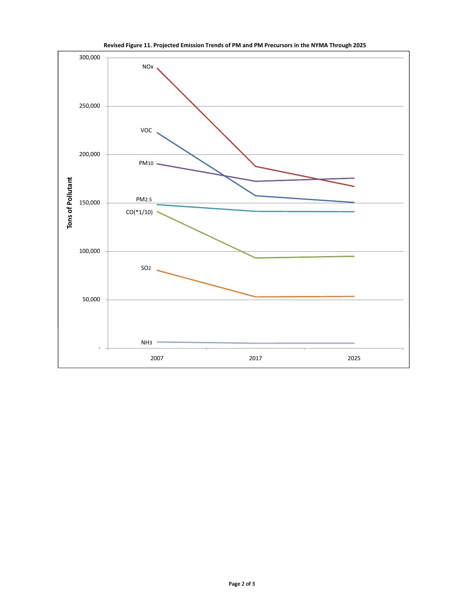